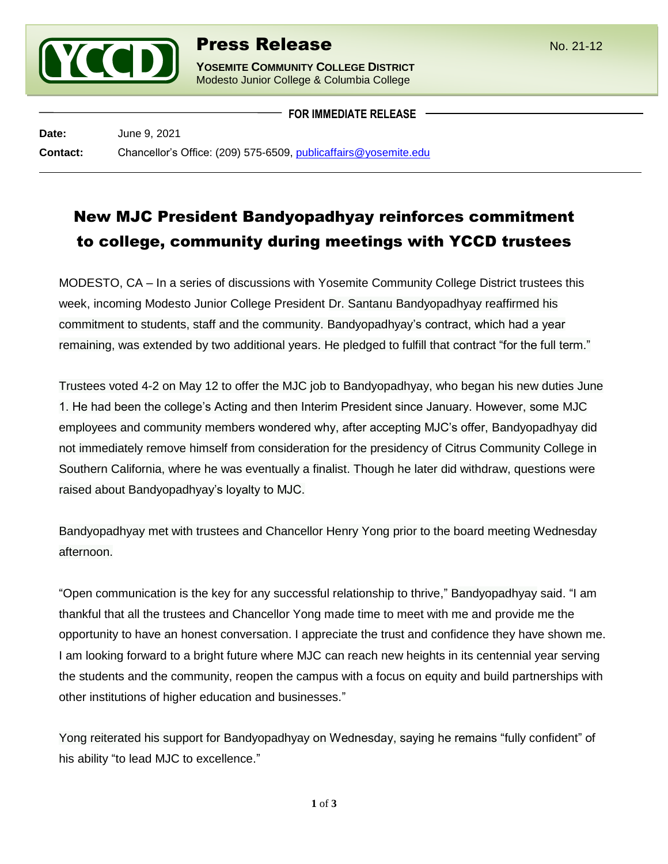

**YOSEMITE COMMUNITY COLLEGE DISTRICT** Modesto Junior College & Columbia College

**FOR IMMEDIATE RELEASE**

**Date:** June 9, 2021 **Contact:** Chancellor's Office: (209) 575-6509, [publicaffairs@yosemite.edu](mailto:publicaffairs@yosemite.edu)

## New MJC President Bandyopadhyay reinforces commitment to college, community during meetings with YCCD trustees

MODESTO, CA – In a series of discussions with Yosemite Community College District trustees this week, incoming Modesto Junior College President Dr. Santanu Bandyopadhyay reaffirmed his commitment to students, staff and the community. Bandyopadhyay's contract, which had a year remaining, was extended by two additional years. He pledged to fulfill that contract "for the full term."

Trustees voted 4-2 on May 12 to offer the MJC job to Bandyopadhyay, who began his new duties June 1. He had been the college's Acting and then Interim President since January. However, some MJC employees and community members wondered why, after accepting MJC's offer, Bandyopadhyay did not immediately remove himself from consideration for the presidency of Citrus Community College in Southern California, where he was eventually a finalist. Though he later did withdraw, questions were raised about Bandyopadhyay's loyalty to MJC.

Bandyopadhyay met with trustees and Chancellor Henry Yong prior to the board meeting Wednesday afternoon.

"Open communication is the key for any successful relationship to thrive," Bandyopadhyay said. "I am thankful that all the trustees and Chancellor Yong made time to meet with me and provide me the opportunity to have an honest conversation. I appreciate the trust and confidence they have shown me. I am looking forward to a bright future where MJC can reach new heights in its centennial year serving the students and the community, reopen the campus with a focus on equity and build partnerships with other institutions of higher education and businesses."

Yong reiterated his support for Bandyopadhyay on Wednesday, saying he remains "fully confident" of his ability "to lead MJC to excellence."

**1** of **3**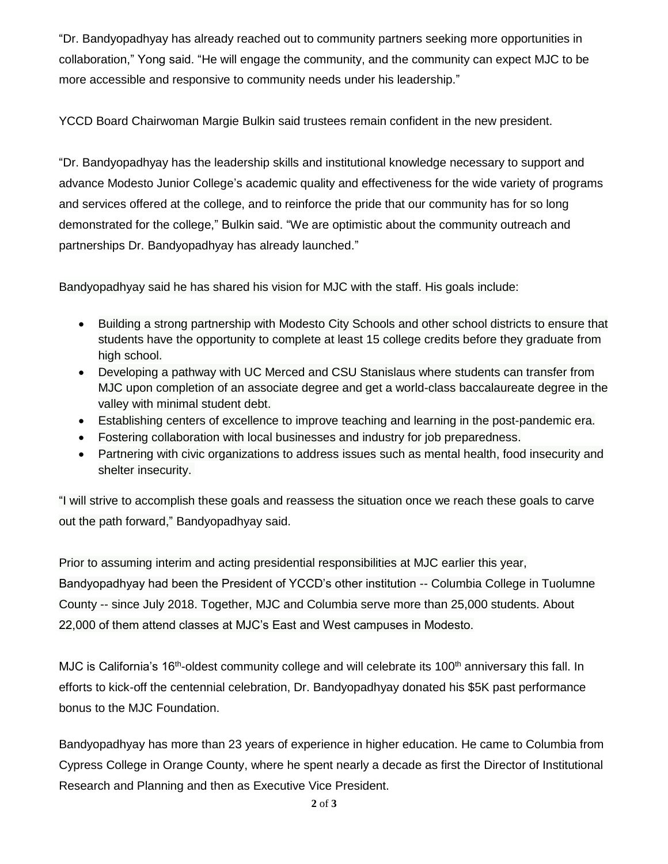"Dr. Bandyopadhyay has already reached out to community partners seeking more opportunities in collaboration," Yong said. "He will engage the community, and the community can expect MJC to be more accessible and responsive to community needs under his leadership."

YCCD Board Chairwoman Margie Bulkin said trustees remain confident in the new president.

"Dr. Bandyopadhyay has the leadership skills and institutional knowledge necessary to support and advance Modesto Junior College's academic quality and effectiveness for the wide variety of programs and services offered at the college, and to reinforce the pride that our community has for so long demonstrated for the college," Bulkin said. "We are optimistic about the community outreach and partnerships Dr. Bandyopadhyay has already launched."

Bandyopadhyay said he has shared his vision for MJC with the staff. His goals include:

- Building a strong partnership with Modesto City Schools and other school districts to ensure that students have the opportunity to complete at least 15 college credits before they graduate from high school.
- Developing a pathway with UC Merced and CSU Stanislaus where students can transfer from MJC upon completion of an associate degree and get a world-class baccalaureate degree in the valley with minimal student debt.
- Establishing centers of excellence to improve teaching and learning in the post-pandemic era.
- Fostering collaboration with local businesses and industry for job preparedness.
- Partnering with civic organizations to address issues such as mental health, food insecurity and shelter insecurity.

"I will strive to accomplish these goals and reassess the situation once we reach these goals to carve out the path forward," Bandyopadhyay said.

Prior to assuming interim and acting presidential responsibilities at MJC earlier this year, Bandyopadhyay had been the President of YCCD's other institution -- Columbia College in Tuolumne County -- since July 2018. Together, MJC and Columbia serve more than 25,000 students. About 22,000 of them attend classes at MJC's East and West campuses in Modesto.

MJC is California's 16<sup>th</sup>-oldest community college and will celebrate its 100<sup>th</sup> anniversary this fall. In efforts to kick-off the centennial celebration, Dr. Bandyopadhyay donated his \$5K past performance bonus to the MJC Foundation.

Bandyopadhyay has more than 23 years of experience in higher education. He came to Columbia from Cypress College in Orange County, where he spent nearly a decade as first the Director of Institutional Research and Planning and then as Executive Vice President.